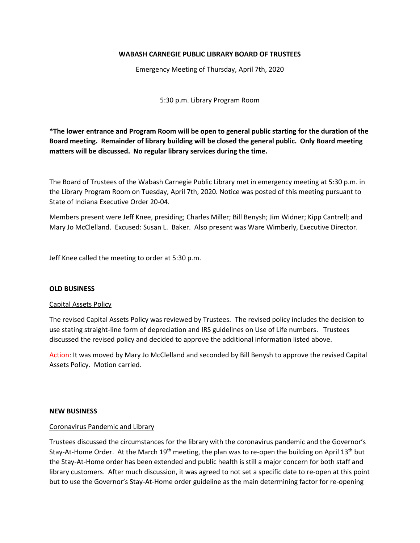### **WABASH CARNEGIE PUBLIC LIBRARY BOARD OF TRUSTEES**

Emergency Meeting of Thursday, April 7th, 2020

5:30 p.m. Library Program Room

**\*The lower entrance and Program Room will be open to general public starting for the duration of the Board meeting. Remainder of library building will be closed the general public. Only Board meeting matters will be discussed. No regular library services during the time.**

The Board of Trustees of the Wabash Carnegie Public Library met in emergency meeting at 5:30 p.m. in the Library Program Room on Tuesday, April 7th, 2020. Notice was posted of this meeting pursuant to State of Indiana Executive Order 20-04.

Members present were Jeff Knee, presiding; Charles Miller; Bill Benysh; Jim Widner; Kipp Cantrell; and Mary Jo McClelland. Excused: Susan L. Baker. Also present was Ware Wimberly, Executive Director.

Jeff Knee called the meeting to order at 5:30 p.m.

#### **OLD BUSINESS**

#### Capital Assets Policy

The revised Capital Assets Policy was reviewed by Trustees. The revised policy includes the decision to use stating straight-line form of depreciation and IRS guidelines on Use of Life numbers. Trustees discussed the revised policy and decided to approve the additional information listed above.

Action: It was moved by Mary Jo McClelland and seconded by Bill Benysh to approve the revised Capital Assets Policy. Motion carried.

#### **NEW BUSINESS**

#### Coronavirus Pandemic and Library

Trustees discussed the circumstances for the library with the coronavirus pandemic and the Governor's Stay-At-Home Order. At the March  $19<sup>th</sup>$  meeting, the plan was to re-open the building on April 13<sup>th</sup> but the Stay-At-Home order has been extended and public health is still a major concern for both staff and library customers. After much discussion, it was agreed to not set a specific date to re-open at this point but to use the Governor's Stay-At-Home order guideline as the main determining factor for re-opening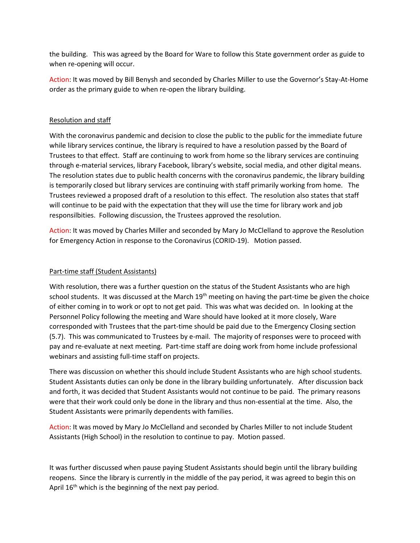the building. This was agreed by the Board for Ware to follow this State government order as guide to when re-opening will occur.

Action: It was moved by Bill Benysh and seconded by Charles Miller to use the Governor's Stay-At-Home order as the primary guide to when re-open the library building.

# Resolution and staff

With the coronavirus pandemic and decision to close the public to the public for the immediate future while library services continue, the library is required to have a resolution passed by the Board of Trustees to that effect. Staff are continuing to work from home so the library services are continuing through e-material services, library Facebook, library's website, social media, and other digital means. The resolution states due to public health concerns with the coronavirus pandemic, the library building is temporarily closed but library services are continuing with staff primarily working from home. The Trustees reviewed a proposed draft of a resolution to this effect. The resolution also states that staff will continue to be paid with the expectation that they will use the time for library work and job responsilbities. Following discussion, the Trustees approved the resolution.

Action: It was moved by Charles Miller and seconded by Mary Jo McClelland to approve the Resolution for Emergency Action in response to the Coronavirus (CORID-19). Motion passed.

## Part-time staff (Student Assistants)

With resolution, there was a further question on the status of the Student Assistants who are high school students. It was discussed at the March 19<sup>th</sup> meeting on having the part-time be given the choice of either coming in to work or opt to not get paid. This was what was decided on. In looking at the Personnel Policy following the meeting and Ware should have looked at it more closely, Ware corresponded with Trustees that the part-time should be paid due to the Emergency Closing section (5.7). This was communicated to Trustees by e-mail. The majority of responses were to proceed with pay and re-evaluate at next meeting. Part-time staff are doing work from home include professional webinars and assisting full-time staff on projects.

There was discussion on whether this should include Student Assistants who are high school students. Student Assistants duties can only be done in the library building unfortunately. After discussion back and forth, it was decided that Student Assistants would not continue to be paid. The primary reasons were that their work could only be done in the library and thus non-essential at the time. Also, the Student Assistants were primarily dependents with families.

Action: It was moved by Mary Jo McClelland and seconded by Charles Miller to not include Student Assistants (High School) in the resolution to continue to pay. Motion passed.

It was further discussed when pause paying Student Assistants should begin until the library building reopens. Since the library is currently in the middle of the pay period, it was agreed to begin this on April  $16<sup>th</sup>$  which is the beginning of the next pay period.